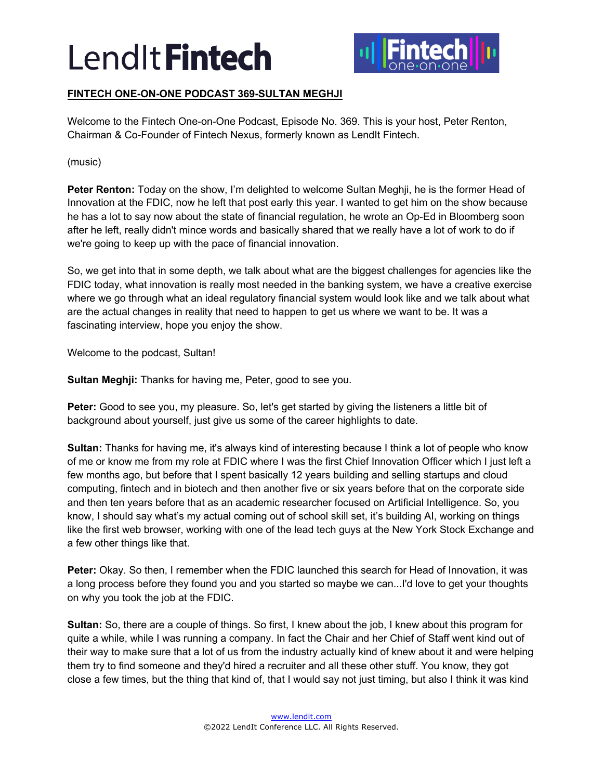

## **FINTECH ONE-ON-ONE PODCAST 369-SULTAN MEGHJI**

Welcome to the Fintech One-on-One Podcast, Episode No. 369. This is your host, Peter Renton, Chairman & Co-Founder of Fintech Nexus, formerly known as LendIt Fintech.

(music)

**Peter Renton:** Today on the show, I'm delighted to welcome Sultan Meghji, he is the former Head of Innovation at the FDIC, now he left that post early this year. I wanted to get him on the show because he has a lot to say now about the state of financial regulation, he wrote an Op-Ed in Bloomberg soon after he left, really didn't mince words and basically shared that we really have a lot of work to do if we're going to keep up with the pace of financial innovation.

So, we get into that in some depth, we talk about what are the biggest challenges for agencies like the FDIC today, what innovation is really most needed in the banking system, we have a creative exercise where we go through what an ideal regulatory financial system would look like and we talk about what are the actual changes in reality that need to happen to get us where we want to be. It was a fascinating interview, hope you enjoy the show.

Welcome to the podcast, Sultan!

**Sultan Meghji:** Thanks for having me, Peter, good to see you.

**Peter:** Good to see you, my pleasure. So, let's get started by giving the listeners a little bit of background about yourself, just give us some of the career highlights to date.

**Sultan:** Thanks for having me, it's always kind of interesting because I think a lot of people who know of me or know me from my role at FDIC where I was the first Chief Innovation Officer which I just left a few months ago, but before that I spent basically 12 years building and selling startups and cloud computing, fintech and in biotech and then another five or six years before that on the corporate side and then ten years before that as an academic researcher focused on Artificial Intelligence. So, you know, I should say what's my actual coming out of school skill set, it's building AI, working on things like the first web browser, working with one of the lead tech guys at the New York Stock Exchange and a few other things like that.

**Peter:** Okay. So then, I remember when the FDIC launched this search for Head of Innovation, it was a long process before they found you and you started so maybe we can...I'd love to get your thoughts on why you took the job at the FDIC.

**Sultan:** So, there are a couple of things. So first, I knew about the job, I knew about this program for quite a while, while I was running a company. In fact the Chair and her Chief of Staff went kind out of their way to make sure that a lot of us from the industry actually kind of knew about it and were helping them try to find someone and they'd hired a recruiter and all these other stuff. You know, they got close a few times, but the thing that kind of, that I would say not just timing, but also I think it was kind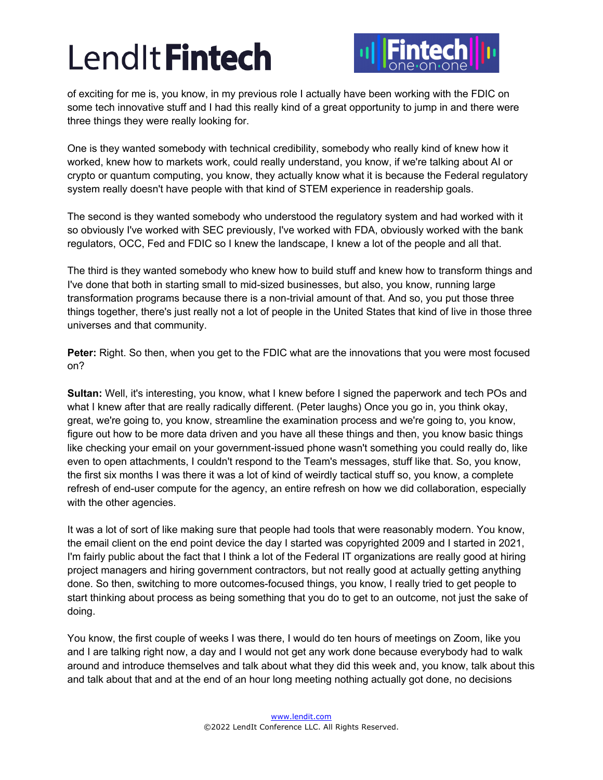

of exciting for me is, you know, in my previous role I actually have been working with the FDIC on some tech innovative stuff and I had this really kind of a great opportunity to jump in and there were three things they were really looking for.

One is they wanted somebody with technical credibility, somebody who really kind of knew how it worked, knew how to markets work, could really understand, you know, if we're talking about AI or crypto or quantum computing, you know, they actually know what it is because the Federal regulatory system really doesn't have people with that kind of STEM experience in readership goals.

The second is they wanted somebody who understood the regulatory system and had worked with it so obviously I've worked with SEC previously, I've worked with FDA, obviously worked with the bank regulators, OCC, Fed and FDIC so I knew the landscape, I knew a lot of the people and all that.

The third is they wanted somebody who knew how to build stuff and knew how to transform things and I've done that both in starting small to mid-sized businesses, but also, you know, running large transformation programs because there is a non-trivial amount of that. And so, you put those three things together, there's just really not a lot of people in the United States that kind of live in those three universes and that community.

**Peter:** Right. So then, when you get to the FDIC what are the innovations that you were most focused on?

**Sultan:** Well, it's interesting, you know, what I knew before I signed the paperwork and tech POs and what I knew after that are really radically different. (Peter laughs) Once you go in, you think okay, great, we're going to, you know, streamline the examination process and we're going to, you know, figure out how to be more data driven and you have all these things and then, you know basic things like checking your email on your government-issued phone wasn't something you could really do, like even to open attachments, I couldn't respond to the Team's messages, stuff like that. So, you know, the first six months I was there it was a lot of kind of weirdly tactical stuff so, you know, a complete refresh of end-user compute for the agency, an entire refresh on how we did collaboration, especially with the other agencies.

It was a lot of sort of like making sure that people had tools that were reasonably modern. You know, the email client on the end point device the day I started was copyrighted 2009 and I started in 2021, I'm fairly public about the fact that I think a lot of the Federal IT organizations are really good at hiring project managers and hiring government contractors, but not really good at actually getting anything done. So then, switching to more outcomes-focused things, you know, I really tried to get people to start thinking about process as being something that you do to get to an outcome, not just the sake of doing.

You know, the first couple of weeks I was there, I would do ten hours of meetings on Zoom, like you and I are talking right now, a day and I would not get any work done because everybody had to walk around and introduce themselves and talk about what they did this week and, you know, talk about this and talk about that and at the end of an hour long meeting nothing actually got done, no decisions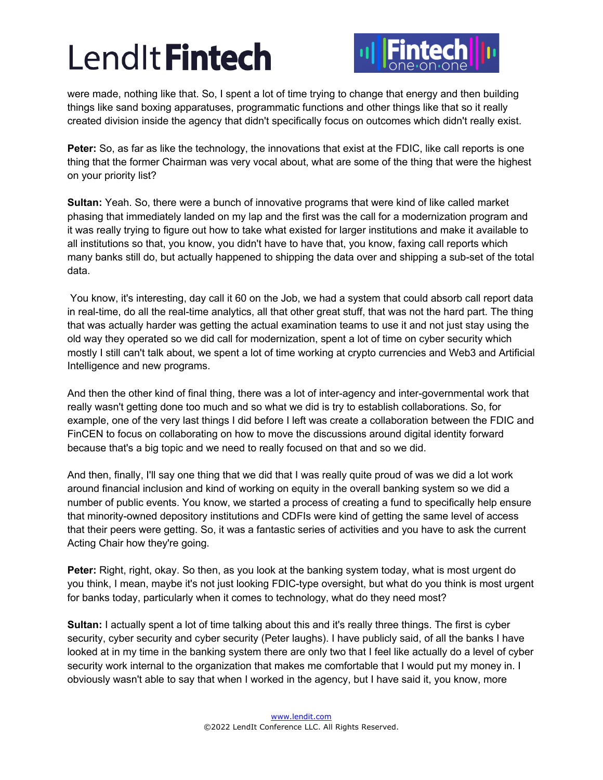

were made, nothing like that. So, I spent a lot of time trying to change that energy and then building things like sand boxing apparatuses, programmatic functions and other things like that so it really created division inside the agency that didn't specifically focus on outcomes which didn't really exist.

**Peter:** So, as far as like the technology, the innovations that exist at the FDIC, like call reports is one thing that the former Chairman was very vocal about, what are some of the thing that were the highest on your priority list?

**Sultan:** Yeah. So, there were a bunch of innovative programs that were kind of like called market phasing that immediately landed on my lap and the first was the call for a modernization program and it was really trying to figure out how to take what existed for larger institutions and make it available to all institutions so that, you know, you didn't have to have that, you know, faxing call reports which many banks still do, but actually happened to shipping the data over and shipping a sub-set of the total data.

You know, it's interesting, day call it 60 on the Job, we had a system that could absorb call report data in real-time, do all the real-time analytics, all that other great stuff, that was not the hard part. The thing that was actually harder was getting the actual examination teams to use it and not just stay using the old way they operated so we did call for modernization, spent a lot of time on cyber security which mostly I still can't talk about, we spent a lot of time working at crypto currencies and Web3 and Artificial Intelligence and new programs.

And then the other kind of final thing, there was a lot of inter-agency and inter-governmental work that really wasn't getting done too much and so what we did is try to establish collaborations. So, for example, one of the very last things I did before I left was create a collaboration between the FDIC and FinCEN to focus on collaborating on how to move the discussions around digital identity forward because that's a big topic and we need to really focused on that and so we did.

And then, finally, I'll say one thing that we did that I was really quite proud of was we did a lot work around financial inclusion and kind of working on equity in the overall banking system so we did a number of public events. You know, we started a process of creating a fund to specifically help ensure that minority-owned depository institutions and CDFIs were kind of getting the same level of access that their peers were getting. So, it was a fantastic series of activities and you have to ask the current Acting Chair how they're going.

**Peter:** Right, right, okay. So then, as you look at the banking system today, what is most urgent do you think, I mean, maybe it's not just looking FDIC-type oversight, but what do you think is most urgent for banks today, particularly when it comes to technology, what do they need most?

**Sultan:** I actually spent a lot of time talking about this and it's really three things. The first is cyber security, cyber security and cyber security (Peter laughs). I have publicly said, of all the banks I have looked at in my time in the banking system there are only two that I feel like actually do a level of cyber security work internal to the organization that makes me comfortable that I would put my money in. I obviously wasn't able to say that when I worked in the agency, but I have said it, you know, more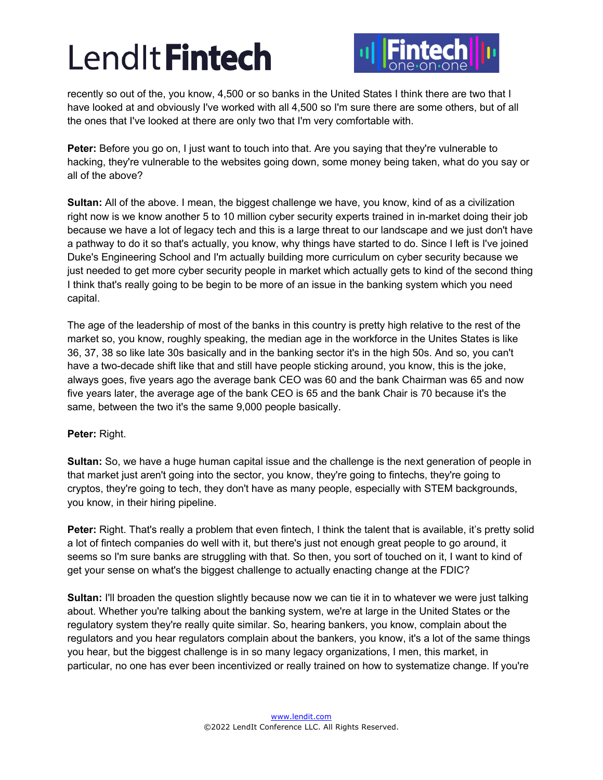

recently so out of the, you know, 4,500 or so banks in the United States I think there are two that I have looked at and obviously I've worked with all 4,500 so I'm sure there are some others, but of all the ones that I've looked at there are only two that I'm very comfortable with.

**Peter:** Before you go on, I just want to touch into that. Are you saying that they're vulnerable to hacking, they're vulnerable to the websites going down, some money being taken, what do you say or all of the above?

**Sultan:** All of the above. I mean, the biggest challenge we have, you know, kind of as a civilization right now is we know another 5 to 10 million cyber security experts trained in in-market doing their job because we have a lot of legacy tech and this is a large threat to our landscape and we just don't have a pathway to do it so that's actually, you know, why things have started to do. Since I left is I've joined Duke's Engineering School and I'm actually building more curriculum on cyber security because we just needed to get more cyber security people in market which actually gets to kind of the second thing I think that's really going to be begin to be more of an issue in the banking system which you need capital.

The age of the leadership of most of the banks in this country is pretty high relative to the rest of the market so, you know, roughly speaking, the median age in the workforce in the Unites States is like 36, 37, 38 so like late 30s basically and in the banking sector it's in the high 50s. And so, you can't have a two-decade shift like that and still have people sticking around, you know, this is the joke, always goes, five years ago the average bank CEO was 60 and the bank Chairman was 65 and now five years later, the average age of the bank CEO is 65 and the bank Chair is 70 because it's the same, between the two it's the same 9,000 people basically.

## **Peter:** Right.

**Sultan:** So, we have a huge human capital issue and the challenge is the next generation of people in that market just aren't going into the sector, you know, they're going to fintechs, they're going to cryptos, they're going to tech, they don't have as many people, especially with STEM backgrounds, you know, in their hiring pipeline.

**Peter:** Right. That's really a problem that even fintech, I think the talent that is available, it's pretty solid a lot of fintech companies do well with it, but there's just not enough great people to go around, it seems so I'm sure banks are struggling with that. So then, you sort of touched on it, I want to kind of get your sense on what's the biggest challenge to actually enacting change at the FDIC?

**Sultan:** I'll broaden the question slightly because now we can tie it in to whatever we were just talking about. Whether you're talking about the banking system, we're at large in the United States or the regulatory system they're really quite similar. So, hearing bankers, you know, complain about the regulators and you hear regulators complain about the bankers, you know, it's a lot of the same things you hear, but the biggest challenge is in so many legacy organizations, I men, this market, in particular, no one has ever been incentivized or really trained on how to systematize change. If you're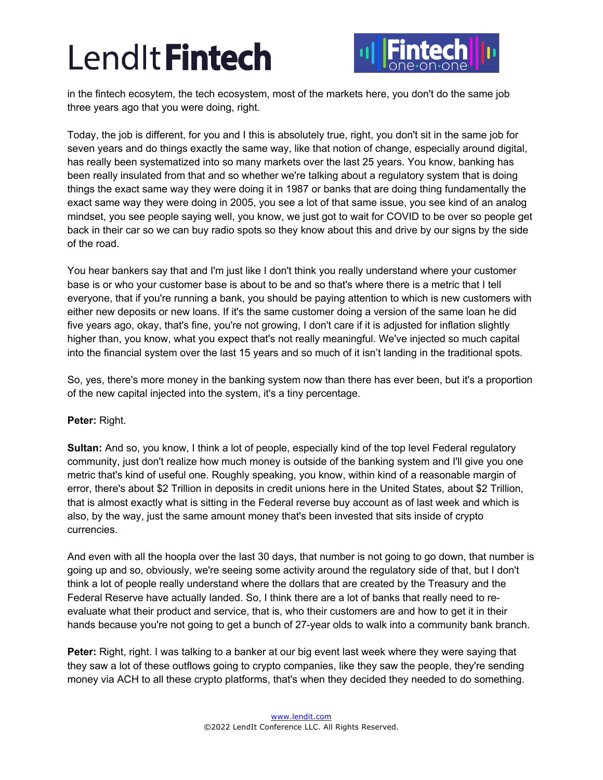

in the fintech ecosytem, the tech ecosystem, most of the markets here, you don't do the same job three years ago that you were doing, right.

Today, the job is different, for you and I this is absolutely true, right, you don't sit in the same job for seven years and do things exactly the same way, like that notion of change, especially around digital, has really been systematized into so many markets over the last 25 years. You know, banking has been really insulated from that and so whether we're talking about a regulatory system that is doing things the exact same way they were doing it in 1987 or banks that are doing thing fundamentally the exact same way they were doing in 2005, you see a lot of that same issue, you see kind of an analog mindset, you see people saying well, you know, we just got to wait for COVID to be over so people get back in their car so we can buy radio spots so they know about this and drive by our signs by the side of the road.

You hear bankers say that and I'm just like I don't think you really understand where your customer base is or who your customer base is about to be and so that's where there is a metric that I tell everyone, that if you're running a bank, you should be paying attention to which is new customers with either new deposits or new loans. If it's the same customer doing a version of the same loan he did five years ago, okay, that's fine, you're not growing, I don't care if it is adjusted for inflation slightly higher than, you know, what you expect that's not really meaningful. We've injected so much capital into the financial system over the last 15 years and so much of it isn't landing in the traditional spots.

So, yes, there's more money in the banking system now than there has ever been, but it's a proportion of the new capital injected into the system, it's a tiny percentage.

## **Peter:** Right.

**Sultan:** And so, you know, I think a lot of people, especially kind of the top level Federal regulatory community, just don't realize how much money is outside of the banking system and I'll give you one metric that's kind of useful one. Roughly speaking, you know, within kind of a reasonable margin of error, there's about \$2 Trillion in deposits in credit unions here in the United States, about \$2 Trillion, that is almost exactly what is sitting in the Federal reverse buy account as of last week and which is also, by the way, just the same amount money that's been invested that sits inside of crypto currencies.

And even with all the hoopla over the last 30 days, that number is not going to go down, that number is going up and so, obviously, we're seeing some activity around the regulatory side of that, but I don't think a lot of people really understand where the dollars that are created by the Treasury and the Federal Reserve have actually landed. So, I think there are a lot of banks that really need to reevaluate what their product and service, that is, who their customers are and how to get it in their hands because you're not going to get a bunch of 27-year olds to walk into a community bank branch.

**Peter:** Right, right. I was talking to a banker at our big event last week where they were saying that they saw a lot of these outflows going to crypto companies, like they saw the people, they're sending money via ACH to all these crypto platforms, that's when they decided they needed to do something.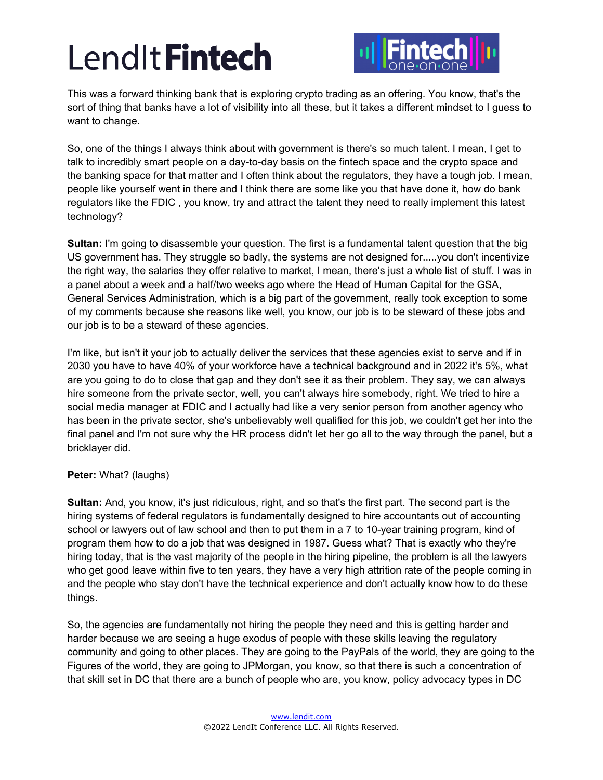

This was a forward thinking bank that is exploring crypto trading as an offering. You know, that's the sort of thing that banks have a lot of visibility into all these, but it takes a different mindset to I guess to want to change.

So, one of the things I always think about with government is there's so much talent. I mean, I get to talk to incredibly smart people on a day-to-day basis on the fintech space and the crypto space and the banking space for that matter and I often think about the regulators, they have a tough job. I mean, people like yourself went in there and I think there are some like you that have done it, how do bank regulators like the FDIC , you know, try and attract the talent they need to really implement this latest technology?

**Sultan:** I'm going to disassemble your question. The first is a fundamental talent question that the big US government has. They struggle so badly, the systems are not designed for.....you don't incentivize the right way, the salaries they offer relative to market, I mean, there's just a whole list of stuff. I was in a panel about a week and a half/two weeks ago where the Head of Human Capital for the GSA, General Services Administration, which is a big part of the government, really took exception to some of my comments because she reasons like well, you know, our job is to be steward of these jobs and our job is to be a steward of these agencies.

I'm like, but isn't it your job to actually deliver the services that these agencies exist to serve and if in 2030 you have to have 40% of your workforce have a technical background and in 2022 it's 5%, what are you going to do to close that gap and they don't see it as their problem. They say, we can always hire someone from the private sector, well, you can't always hire somebody, right. We tried to hire a social media manager at FDIC and I actually had like a very senior person from another agency who has been in the private sector, she's unbelievably well qualified for this job, we couldn't get her into the final panel and I'm not sure why the HR process didn't let her go all to the way through the panel, but a bricklayer did.

## **Peter:** What? (laughs)

**Sultan:** And, you know, it's just ridiculous, right, and so that's the first part. The second part is the hiring systems of federal regulators is fundamentally designed to hire accountants out of accounting school or lawyers out of law school and then to put them in a 7 to 10-year training program, kind of program them how to do a job that was designed in 1987. Guess what? That is exactly who they're hiring today, that is the vast majority of the people in the hiring pipeline, the problem is all the lawyers who get good leave within five to ten years, they have a very high attrition rate of the people coming in and the people who stay don't have the technical experience and don't actually know how to do these things.

So, the agencies are fundamentally not hiring the people they need and this is getting harder and harder because we are seeing a huge exodus of people with these skills leaving the regulatory community and going to other places. They are going to the PayPals of the world, they are going to the Figures of the world, they are going to JPMorgan, you know, so that there is such a concentration of that skill set in DC that there are a bunch of people who are, you know, policy advocacy types in DC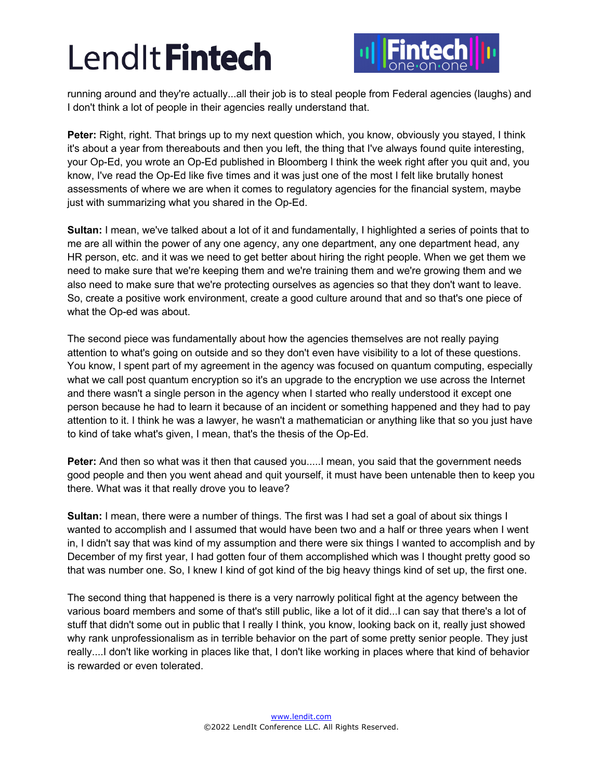

running around and they're actually...all their job is to steal people from Federal agencies (laughs) and I don't think a lot of people in their agencies really understand that.

**Peter:** Right, right. That brings up to my next question which, you know, obviously you stayed, I think it's about a year from thereabouts and then you left, the thing that I've always found quite interesting, your Op-Ed, you wrote an Op-Ed published in Bloomberg I think the week right after you quit and, you know, I've read the Op-Ed like five times and it was just one of the most I felt like brutally honest assessments of where we are when it comes to regulatory agencies for the financial system, maybe just with summarizing what you shared in the Op-Ed.

**Sultan:** I mean, we've talked about a lot of it and fundamentally, I highlighted a series of points that to me are all within the power of any one agency, any one department, any one department head, any HR person, etc. and it was we need to get better about hiring the right people. When we get them we need to make sure that we're keeping them and we're training them and we're growing them and we also need to make sure that we're protecting ourselves as agencies so that they don't want to leave. So, create a positive work environment, create a good culture around that and so that's one piece of what the Op-ed was about.

The second piece was fundamentally about how the agencies themselves are not really paying attention to what's going on outside and so they don't even have visibility to a lot of these questions. You know, I spent part of my agreement in the agency was focused on quantum computing, especially what we call post quantum encryption so it's an upgrade to the encryption we use across the Internet and there wasn't a single person in the agency when I started who really understood it except one person because he had to learn it because of an incident or something happened and they had to pay attention to it. I think he was a lawyer, he wasn't a mathematician or anything like that so you just have to kind of take what's given, I mean, that's the thesis of the Op-Ed.

**Peter:** And then so what was it then that caused you.....I mean, you said that the government needs good people and then you went ahead and quit yourself, it must have been untenable then to keep you there. What was it that really drove you to leave?

**Sultan:** I mean, there were a number of things. The first was I had set a goal of about six things I wanted to accomplish and I assumed that would have been two and a half or three years when I went in, I didn't say that was kind of my assumption and there were six things I wanted to accomplish and by December of my first year, I had gotten four of them accomplished which was I thought pretty good so that was number one. So, I knew I kind of got kind of the big heavy things kind of set up, the first one.

The second thing that happened is there is a very narrowly political fight at the agency between the various board members and some of that's still public, like a lot of it did...I can say that there's a lot of stuff that didn't some out in public that I really I think, you know, looking back on it, really just showed why rank unprofessionalism as in terrible behavior on the part of some pretty senior people. They just really....I don't like working in places like that, I don't like working in places where that kind of behavior is rewarded or even tolerated.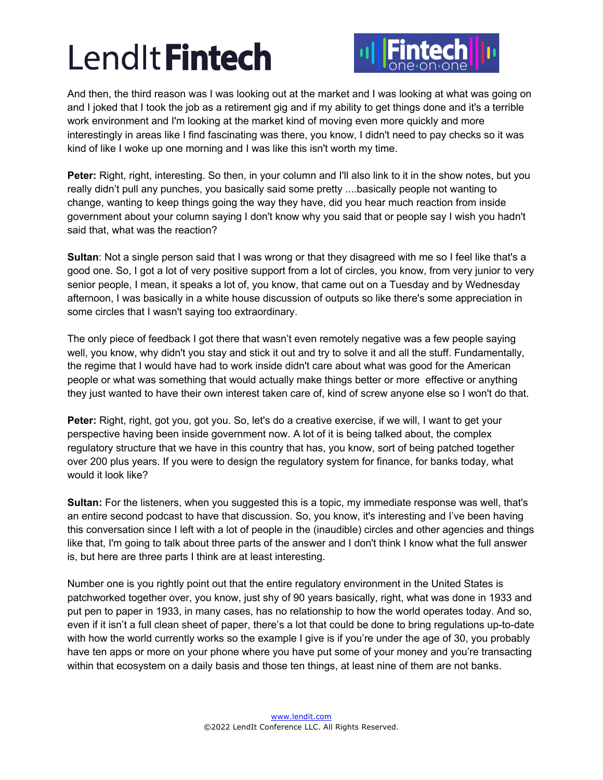

And then, the third reason was I was looking out at the market and I was looking at what was going on and I joked that I took the job as a retirement gig and if my ability to get things done and it's a terrible work environment and I'm looking at the market kind of moving even more quickly and more interestingly in areas like I find fascinating was there, you know, I didn't need to pay checks so it was kind of like I woke up one morning and I was like this isn't worth my time.

**Peter:** Right, right, interesting. So then, in your column and I'll also link to it in the show notes, but you really didn't pull any punches, you basically said some pretty ....basically people not wanting to change, wanting to keep things going the way they have, did you hear much reaction from inside government about your column saying I don't know why you said that or people say I wish you hadn't said that, what was the reaction?

**Sultan**: Not a single person said that I was wrong or that they disagreed with me so I feel like that's a good one. So, I got a lot of very positive support from a lot of circles, you know, from very junior to very senior people, I mean, it speaks a lot of, you know, that came out on a Tuesday and by Wednesday afternoon, I was basically in a white house discussion of outputs so like there's some appreciation in some circles that I wasn't saying too extraordinary.

The only piece of feedback I got there that wasn't even remotely negative was a few people saying well, you know, why didn't you stay and stick it out and try to solve it and all the stuff. Fundamentally, the regime that I would have had to work inside didn't care about what was good for the American people or what was something that would actually make things better or more effective or anything they just wanted to have their own interest taken care of, kind of screw anyone else so I won't do that.

**Peter:** Right, right, got you, got you. So, let's do a creative exercise, if we will, I want to get your perspective having been inside government now. A lot of it is being talked about, the complex regulatory structure that we have in this country that has, you know, sort of being patched together over 200 plus years. If you were to design the regulatory system for finance, for banks today, what would it look like?

**Sultan:** For the listeners, when you suggested this is a topic, my immediate response was well, that's an entire second podcast to have that discussion. So, you know, it's interesting and I've been having this conversation since I left with a lot of people in the (inaudible) circles and other agencies and things like that, I'm going to talk about three parts of the answer and I don't think I know what the full answer is, but here are three parts I think are at least interesting.

Number one is you rightly point out that the entire regulatory environment in the United States is patchworked together over, you know, just shy of 90 years basically, right, what was done in 1933 and put pen to paper in 1933, in many cases, has no relationship to how the world operates today. And so, even if it isn't a full clean sheet of paper, there's a lot that could be done to bring regulations up-to-date with how the world currently works so the example I give is if you're under the age of 30, you probably have ten apps or more on your phone where you have put some of your money and you're transacting within that ecosystem on a daily basis and those ten things, at least nine of them are not banks.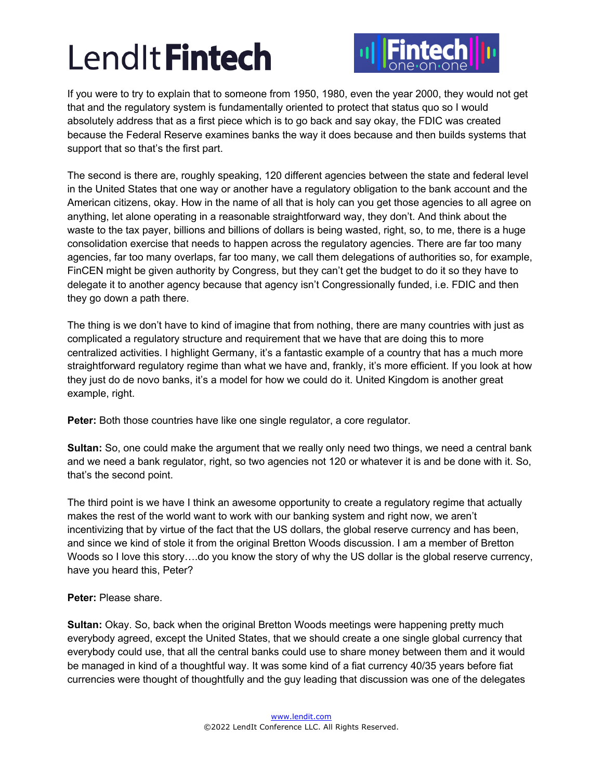

If you were to try to explain that to someone from 1950, 1980, even the year 2000, they would not get that and the regulatory system is fundamentally oriented to protect that status quo so I would absolutely address that as a first piece which is to go back and say okay, the FDIC was created because the Federal Reserve examines banks the way it does because and then builds systems that support that so that's the first part.

The second is there are, roughly speaking, 120 different agencies between the state and federal level in the United States that one way or another have a regulatory obligation to the bank account and the American citizens, okay. How in the name of all that is holy can you get those agencies to all agree on anything, let alone operating in a reasonable straightforward way, they don't. And think about the waste to the tax payer, billions and billions of dollars is being wasted, right, so, to me, there is a huge consolidation exercise that needs to happen across the regulatory agencies. There are far too many agencies, far too many overlaps, far too many, we call them delegations of authorities so, for example, FinCEN might be given authority by Congress, but they can't get the budget to do it so they have to delegate it to another agency because that agency isn't Congressionally funded, i.e. FDIC and then they go down a path there.

The thing is we don't have to kind of imagine that from nothing, there are many countries with just as complicated a regulatory structure and requirement that we have that are doing this to more centralized activities. I highlight Germany, it's a fantastic example of a country that has a much more straightforward regulatory regime than what we have and, frankly, it's more efficient. If you look at how they just do de novo banks, it's a model for how we could do it. United Kingdom is another great example, right.

**Peter:** Both those countries have like one single regulator, a core regulator.

**Sultan:** So, one could make the argument that we really only need two things, we need a central bank and we need a bank regulator, right, so two agencies not 120 or whatever it is and be done with it. So, that's the second point.

The third point is we have I think an awesome opportunity to create a regulatory regime that actually makes the rest of the world want to work with our banking system and right now, we aren't incentivizing that by virtue of the fact that the US dollars, the global reserve currency and has been, and since we kind of stole it from the original Bretton Woods discussion. I am a member of Bretton Woods so I love this story...do you know the story of why the US dollar is the global reserve currency, have you heard this, Peter?

## **Peter:** Please share.

**Sultan:** Okay. So, back when the original Bretton Woods meetings were happening pretty much everybody agreed, except the United States, that we should create a one single global currency that everybody could use, that all the central banks could use to share money between them and it would be managed in kind of a thoughtful way. It was some kind of a fiat currency 40/35 years before fiat currencies were thought of thoughtfully and the guy leading that discussion was one of the delegates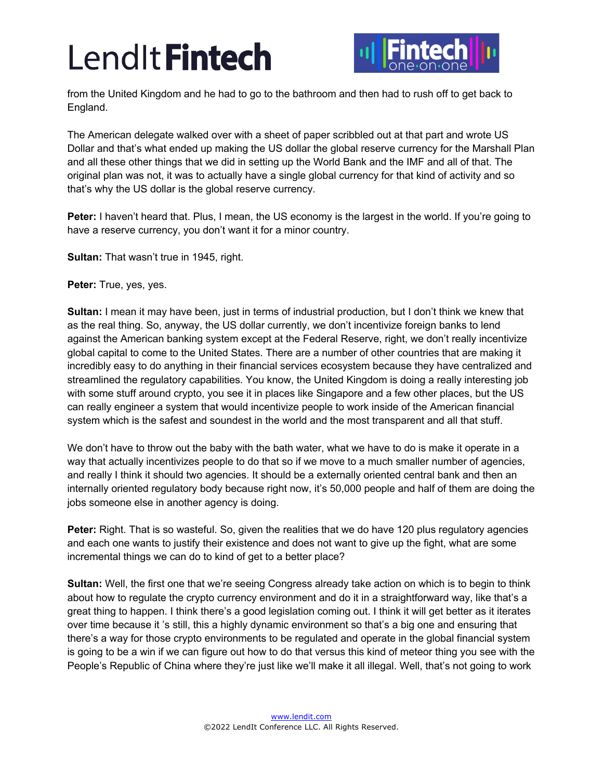

from the United Kingdom and he had to go to the bathroom and then had to rush off to get back to England.

The American delegate walked over with a sheet of paper scribbled out at that part and wrote US Dollar and that's what ended up making the US dollar the global reserve currency for the Marshall Plan and all these other things that we did in setting up the World Bank and the IMF and all of that. The original plan was not, it was to actually have a single global currency for that kind of activity and so that's why the US dollar is the global reserve currency.

**Peter:** I haven't heard that. Plus, I mean, the US economy is the largest in the world. If you're going to have a reserve currency, you don't want it for a minor country.

**Sultan:** That wasn't true in 1945, right.

**Peter:** True, yes, yes.

**Sultan:** I mean it may have been, just in terms of industrial production, but I don't think we knew that as the real thing. So, anyway, the US dollar currently, we don't incentivize foreign banks to lend against the American banking system except at the Federal Reserve, right, we don't really incentivize global capital to come to the United States. There are a number of other countries that are making it incredibly easy to do anything in their financial services ecosystem because they have centralized and streamlined the regulatory capabilities. You know, the United Kingdom is doing a really interesting job with some stuff around crypto, you see it in places like Singapore and a few other places, but the US can really engineer a system that would incentivize people to work inside of the American financial system which is the safest and soundest in the world and the most transparent and all that stuff.

We don't have to throw out the baby with the bath water, what we have to do is make it operate in a way that actually incentivizes people to do that so if we move to a much smaller number of agencies, and really I think it should two agencies. It should be a externally oriented central bank and then an internally oriented regulatory body because right now, it's 50,000 people and half of them are doing the jobs someone else in another agency is doing.

**Peter:** Right. That is so wasteful. So, given the realities that we do have 120 plus regulatory agencies and each one wants to justify their existence and does not want to give up the fight, what are some incremental things we can do to kind of get to a better place?

**Sultan:** Well, the first one that we're seeing Congress already take action on which is to begin to think about how to regulate the crypto currency environment and do it in a straightforward way, like that's a great thing to happen. I think there's a good legislation coming out. I think it will get better as it iterates over time because it 's still, this a highly dynamic environment so that's a big one and ensuring that there's a way for those crypto environments to be regulated and operate in the global financial system is going to be a win if we can figure out how to do that versus this kind of meteor thing you see with the People's Republic of China where they're just like we'll make it all illegal. Well, that's not going to work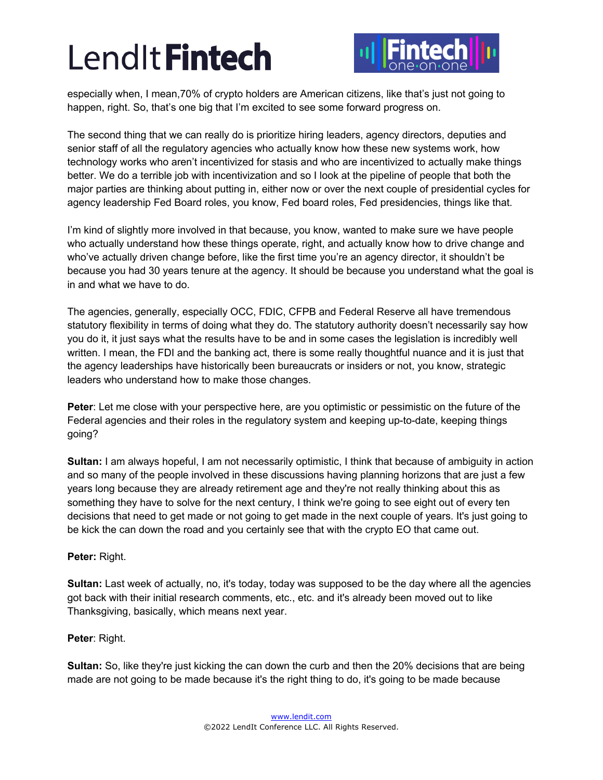

especially when, I mean,70% of crypto holders are American citizens, like that's just not going to happen, right. So, that's one big that I'm excited to see some forward progress on.

The second thing that we can really do is prioritize hiring leaders, agency directors, deputies and senior staff of all the regulatory agencies who actually know how these new systems work, how technology works who aren't incentivized for stasis and who are incentivized to actually make things better. We do a terrible job with incentivization and so I look at the pipeline of people that both the major parties are thinking about putting in, either now or over the next couple of presidential cycles for agency leadership Fed Board roles, you know, Fed board roles, Fed presidencies, things like that.

I'm kind of slightly more involved in that because, you know, wanted to make sure we have people who actually understand how these things operate, right, and actually know how to drive change and who've actually driven change before, like the first time you're an agency director, it shouldn't be because you had 30 years tenure at the agency. It should be because you understand what the goal is in and what we have to do.

The agencies, generally, especially OCC, FDIC, CFPB and Federal Reserve all have tremendous statutory flexibility in terms of doing what they do. The statutory authority doesn't necessarily say how you do it, it just says what the results have to be and in some cases the legislation is incredibly well written. I mean, the FDI and the banking act, there is some really thoughtful nuance and it is just that the agency leaderships have historically been bureaucrats or insiders or not, you know, strategic leaders who understand how to make those changes.

**Peter**: Let me close with your perspective here, are you optimistic or pessimistic on the future of the Federal agencies and their roles in the regulatory system and keeping up-to-date, keeping things going?

**Sultan:** I am always hopeful, I am not necessarily optimistic, I think that because of ambiguity in action and so many of the people involved in these discussions having planning horizons that are just a few years long because they are already retirement age and they're not really thinking about this as something they have to solve for the next century, I think we're going to see eight out of every ten decisions that need to get made or not going to get made in the next couple of years. It's just going to be kick the can down the road and you certainly see that with the crypto EO that came out.

## **Peter:** Right.

**Sultan:** Last week of actually, no, it's today, today was supposed to be the day where all the agencies got back with their initial research comments, etc., etc. and it's already been moved out to like Thanksgiving, basically, which means next year.

## **Peter**: Right.

**Sultan:** So, like they're just kicking the can down the curb and then the 20% decisions that are being made are not going to be made because it's the right thing to do, it's going to be made because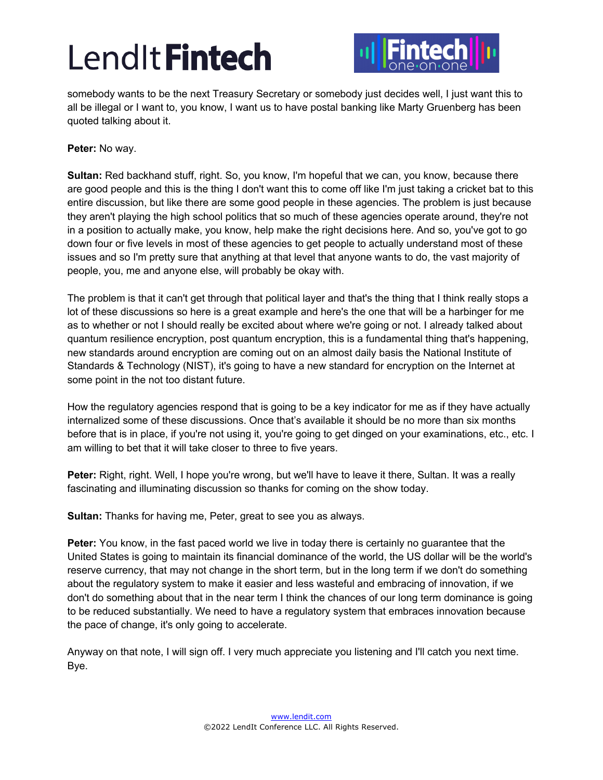

somebody wants to be the next Treasury Secretary or somebody just decides well, I just want this to all be illegal or I want to, you know, I want us to have postal banking like Marty Gruenberg has been quoted talking about it.

**Peter:** No way.

**Sultan:** Red backhand stuff, right. So, you know, I'm hopeful that we can, you know, because there are good people and this is the thing I don't want this to come off like I'm just taking a cricket bat to this entire discussion, but like there are some good people in these agencies. The problem is just because they aren't playing the high school politics that so much of these agencies operate around, they're not in a position to actually make, you know, help make the right decisions here. And so, you've got to go down four or five levels in most of these agencies to get people to actually understand most of these issues and so I'm pretty sure that anything at that level that anyone wants to do, the vast majority of people, you, me and anyone else, will probably be okay with.

The problem is that it can't get through that political layer and that's the thing that I think really stops a lot of these discussions so here is a great example and here's the one that will be a harbinger for me as to whether or not I should really be excited about where we're going or not. I already talked about quantum resilience encryption, post quantum encryption, this is a fundamental thing that's happening, new standards around encryption are coming out on an almost daily basis the National Institute of Standards & Technology (NIST), it's going to have a new standard for encryption on the Internet at some point in the not too distant future.

How the regulatory agencies respond that is going to be a key indicator for me as if they have actually internalized some of these discussions. Once that's available it should be no more than six months before that is in place, if you're not using it, you're going to get dinged on your examinations, etc., etc. I am willing to bet that it will take closer to three to five years.

**Peter:** Right, right. Well, I hope you're wrong, but we'll have to leave it there, Sultan. It was a really fascinating and illuminating discussion so thanks for coming on the show today.

**Sultan:** Thanks for having me, Peter, great to see you as always.

**Peter:** You know, in the fast paced world we live in today there is certainly no guarantee that the United States is going to maintain its financial dominance of the world, the US dollar will be the world's reserve currency, that may not change in the short term, but in the long term if we don't do something about the regulatory system to make it easier and less wasteful and embracing of innovation, if we don't do something about that in the near term I think the chances of our long term dominance is going to be reduced substantially. We need to have a regulatory system that embraces innovation because the pace of change, it's only going to accelerate.

Anyway on that note, I will sign off. I very much appreciate you listening and I'll catch you next time. Bye.